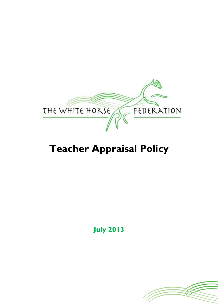

# **Teacher Appraisal Policy**

**July 2013**

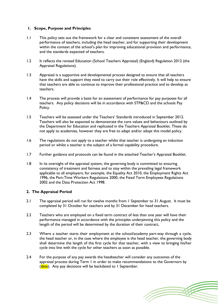## **1. Scope, Purpose and Principles**

- 1.1 This policy sets out the framework for a clear and consistent assessment of the overall performance of teachers, including the head teacher, and for supporting their development within the context of the school's plan for improving educational provision and performance, and the standards expected of teachers.
- 1.2 It reflects the revised Education (School Teachers Appraisal) (England) Regulation 2012 (the Appraisal Regulations).
- 1.3 Appraisal is a supportive and developmental process designed to ensure that all teachers have the skills and support they need to carry out their role effectively. It will help to ensure that teachers are able to continue to improve their professional practice and to develop as teachers.
- 1.4 The process will provide a basis for an assessment of performance for pay purposes for all teachers. Any policy decisions will be in accordance with STP&CD and the schools Pay Policy.
- 1.5 Teachers will be assessed under the Teachers' Standards introduced in September 2012. Teachers will also be expected to demonstrate the core values and behaviours outlined by the Department for Education and replicated in the Teachers Appraisal Booklet. These do not apply to academies, however they are free to adapt and/or adopt this model policy.
- 1.6 The regulations do not apply to a teacher whilst that teacher is undergoing an induction period or whilst a teacher is the subject of a formal capability procedure.
- 1.7 Further guidance and protocols can be found in the attached Teacher's Appraisal Booklet.
- 1.8 In its oversight of the appraisal system, the governing body is committed to ensuring consistency of treatment and fairness and to stay within the prevailing legal framework applicable to all employers; for example, the Equality Act 2010, the Employment Rights Act 1996, the Part-Time Workers Regulations 2000, the Fixed Term Employees Regulations 2002 and the Data Protection Act 1998.

## **2. The Appraisal Period**

- 2.1 The appraisal period will run for twelve months from 1 September to 31 August. It must be completed by 31 October for teachers and by 31 December for head teachers.
- 2.2 Teachers who are employed on a fixed term contract of less than one year will have their performance managed in accordance with the principles underpinning this policy and the length of the period will be determined by the duration of their contract**.**
- 2.3 Where a teacher starts their employment at the school/academy part-way through a cycle, the head teacher or, in the case where the employee is the head teacher, the governing body shall determine the length of the first cycle for that teacher, with a view to bringing his/her cycle into line with the cycle for other teachers as soon as possible.
- 2.4 For the purpose of any pay awards the headteacher will consider any outcomes of the appraisal process during Term 1 in order to make recommendations to the Governors by (date). Any pay decisions will be backdated to I September.

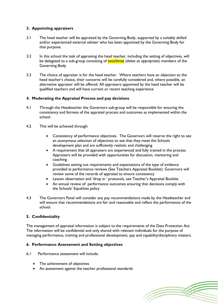# **3. Appointing appraisers**

- 3.1 The head teacher will be appraised by the Governing Body, supported by a suitably skilled and/or experienced external adviser who has been appointed by the Governing Body for that purpose.
- 3.2 In this school the task of appraising the head teacher, including the setting of objectives, will be delegated to a sub-group consisting of two/three *(delete as appropriate)* members of the Governing Body
- 3.3 The choice of appraiser is for the head teacher. Where teachers have an objection to the head teacher's choice, their concerns will be carefully considered and, where possible, an alternative appraiser will be offered. All appraisers appointed by the head teacher will be qualified teachers and will have current or recent teaching experience

## **4. Moderating the Appraisal Process and pay decisions**

- 4.1 Through the Headteacher the Governors sub-group will be responsible for ensuring the consistency and fairness of the appraisal process and outcomes as implemented within the school.
- 4.2 This will be achieved through:
	- Consistency of performance objectives. The Governors will reserve the right to see an anonymous selection of objectives to see that they meet the Schools development plan and are sufficiently realistic and challenging
	- A requirement that all appraisers are experienced and fully trained in the process. Appraisers will be provided with opportunities for discussion, mentoring and coaching
	- Guidelines setting out requirements and expectations of the type of evidence provided at performance reviews (See Teachers Appraisal Booklet). Governors will review some of the records of appraisal to ensure consistency
	- Lesson observation and 'drop in ' protocols, see Teacher's Appraisal Booklet
	- An annual review of performance outcomes ensuring that decisions comply with the Schools' Equalities policy
- 4.3 The Governors Panel will consider any pay recommendations made by the Headteacher and will ensure that recommendations are fair and reasonable and reflect the performance of the school.

## **5. Confidentiality**

The management of appraisal information is subject to the requirements of the Data Protection Act. The information will be confidential and only shared with relevant individuals for the purpose of managing performance, training and professional development, pay and capability/disciplinary matters.

## **6. Performance Assessment and Setting objectives**

- 6.1 Performance assessment will include:
	- The achievement of objectives
	- An assessment against the teacher professional standards

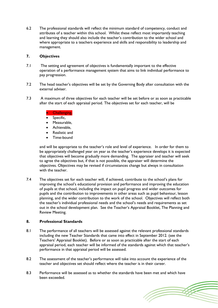6.2 The professional standards will reflect the minimum standard of competency, conduct and attributes of a teacher within this school. Whilst these reflect most importantly teaching and learning they should also include the teacher's contribution to the wider school and where appropriate to a teachers experience and skills and responsibility to leadership and management.

## **7. Objectives**

- 7.1 The setting and agreement of objectives is fundamentally important to the effective operation of a performance management system that aims to link individual performance to pay progression.
- 7.2 The head teacher's objectives will be set by the Governing Body after consultation with the external adviser.
- 7.3 A maximum of three objectives for each teacher will be set before or as soon as practicable after the start of each appraisal period. The objectives set for each teacher, will be

## Challenging,

- Specific,
- Measurable,
- Achievable,
- Realistic and
- Time-bound

and will be appropriate to the teacher's role and level of experience. In order for them to be appropriately challenged year on year as the teacher's experience develops it is expected that objectives will become gradually more demanding. The appraiser and teacher will seek to agree the objectives but, if that is not possible, the appraiser will determine the objectives. Objectives may be revised if circumstances change but always in consultation with the teacher.

7.4 The objectives set for each teacher will, if achieved, contribute to the school's plans for improving the school's educational provision and performance and improving the education of pupils at that school, including the impact on pupil progress and wider outcomes for pupils and the contribution to improvements in other areas such as pupil behaviour, lesson planning, and the wider contribution to the work of the school. Objectives will reflect both the teacher's individual professional needs and the school's needs and requirements as set out in the school development plan. See the Teacher's Appraisal Booklet, The Planning and Review Meeting.

## **8. Professional Standards**

- 8.1 The performance of all teachers will be assessed against the relevant professional standards including the new Teacher Standards that came into effect in September 2012. (see the Teachers' Appraisal Booklet). Before or as soon as practicable after the start of each appraisal period, each teacher will be informed of the standards against which that teacher's performance in that appraisal period will be assessed.
- 8.2 The assessment of the teacher's performance will take into account the experience of the teacher and objectives set should reflect where the teacher is in their career.
- 8.3 Performance will be assessed as to whether the standards have been met and which have been exceeded.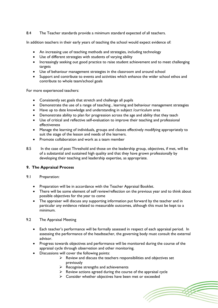8.4 The Teacher standards provide a minimum standard expected of all teachers.

In addition teachers in their early years of teaching the school would expect evidence of:

- An increasing use of teaching methods and strategies, including technology
- Use of different strategies with students of varying ability
- Increasingly seeking out good practice to raise student achievement and to meet challenging targets
- Use of behaviour management strategies in the classroom and around school
- Support and contribute to events and activities which enhance the wider school ethos and contribute to whole team/school goals

For more experienced teachers:

- Consistently set goals that stretch and challenge all pupils
- Demonstrate the use of a range of teaching , learning and behaviour management strategies
- Have up to date knowledge and understanding in subject /curriculum area
- Demonstrate ability to plan for progression across the age and ability that they teach
- Use of critical and reflective self-evaluation to improve their teaching and professional effectiveness
- Manage the learning of individuals, groups and classes effectively modifying appropriately to suit the stage of the lesson and needs of the learners.
- Promote collaboration and work as a team member
- 8.5 In the case of post Threshold and those on the leadership group, objectives, if met, will be of a substantial and sustained high quality and that they have grown professionally by developing their teaching and leadership expertise, as appropriate.

# **9. The Appraisal Process**

#### 9.1 Preparation:

- Preparation will be in accordance with the Teacher Appraisal Booklet.
- There will be some element of self review/reflection on the previous year and to think about possible objectives for the year to come
- The appraiser will discuss any supporting information put forward by the teacher and in particular any evidence related to measurable outcomes, although this must be kept to a minimum.
- 9.2 The Appraisal Meeting
	- Each teacher's performance will be formally assessed in respect of each appraisal period. In assessing the performance of the headteacher, the governing body must consult the external advisor.
	- Progress towards objectives and performance will be monitored during the course of the appraisal cycle through observation and other monitoring.
	- Discussions will cover the following points:
		- $\triangleright$  Review and discuss the teachers responsibilities and objectives set previously
		- $\triangleright$  Recognise strengths and achievements
		- $\triangleright$  Review actions agreed during the course of the appraisal cycle
		- $\triangleright$  Consider whether objectives have been met or exceeded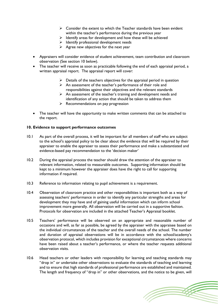- $\triangleright$  Consider the extent to which the Teacher standards have been evident within the teacher's performance during the previous year
- $\triangleright$  Identify areas for development and how these will be achieved
- $\triangleright$  Identify professional development needs
- $\triangleright$  Agree new objectives for the next year
- Appraisers will consider evidence of student achievement, team contribution and classroom observation (See section 10 below).
- The teacher will receive as soon as practicable following the end of each appraisal period, a written appraisal report. The appraisal report will cover:
	- $\triangleright$  Details of the teachers objectives for the appraisal period in question
	- $\triangleright$  An assessment of the teacher's performance of their role and responsibilities against their objectives and the relevant standards
	- $\triangleright$  An assessment of the teacher's training and development needs and identification of any action that should be taken to address them
	- $\triangleright$  Recommendations on pay progression
- The teacher will have the opportunity to make written comments that can be attached to the report.

## **10. Evidence to support performance outcomes**

- 10.1 As part of the overall process, it will be important for all members of staff who are subject to the school's appraisal policy to be clear about the evidence that will be required by their appraiser to enable the appraiser to assess their performance and make a substantiated and evidence-based pay recommendation to the 'decision maker'
- 10.2 During the appraisal process the teacher should draw the attention of the appraiser to relevant information, related to measurable outcomes. Supporting information should be kept to a minimum however the appraiser does have the right to call for supporting information if required.
- 10.3 Reference to information relating to pupil achievement is a requirement.
- 10.4 Observation of classroom practice and other responsibilities is important both as a way of assessing teachers' performance in order to identify any particular strengths and areas for development they may have and of gaining useful information which can inform school improvement more generally. All observation will be carried out in a supportive fashion. Protocols for observation are included in the attached Teacher's Appraisal booklet.
- 10.5 Teachers' performance will be observed on an appropriate and reasonable number of occasions and will, as far as possible, be agreed by the appraiser with the appraisee based on the individual circumstances of the teacher and the overall needs of the school. The number and duration of appraisal observations will be in accordance with the school/academy's observation protocol, which includes provision for exceptional circumstances where concerns have been raised about a teacher's performance, or where the teacher requests additional observation visits.
- 10.6 Head teachers or other leaders with responsibility for learning and teaching standards may "drop in" or undertake other observations to evaluate the standards of teaching and learning and to ensure that high standards of professional performance are established and maintained. The length and frequency of "drop in" or other observations, and the notice to be given, will

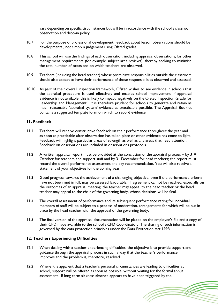vary depending on specific circumstances but will be in accordance with the school's classroom observation and drop-in policy.

- 10.7 For the purpose of professional development, feedback about lesson observations should be developmental, not simply a judgement using Ofsted grades.
- 10.8 This school will use the findings of each observation, including appraisal observations, for other management requirements (for example subject area reviews), thereby seeking to minimise the total number of occasions on which teachers are observed.
- 10.9 Teachers (including the head teacher) whose posts have responsibilities outside the classroom should also expect to have their performance of those responsibilities observed and assessed.
- 10.10 As part of their overall inspection framework, Ofsted wishes to see evidence in schools that the appraisal procedure is used effectively and enables school improvement; if appraisal evidence is not available, this is likely to impact negatively on the Ofsted Inspection Grade for Leadership and Management. It is therefore prudent for schools to generate and retain as much reasonable 'appraisal system' evidence as practicably possible. The Appraisal Booklet contains a suggested template form on which to record evidence.

## **11. Feedback**

- 11.1 Teachers will receive constructive feedback on their performance throughout the year and as soon as practicable after observation has taken place or other evidence has come to light. Feedback will highlight particular areas of strength as well as any areas that need attention. Feedback on observations are included in observations protocols.
- 11.2 A written appraisal report must be provided at the conclusion of the appraisal process by  $31^{st}$ October for teachers and support staff and by 31 December for head teachers; the report must record the overall performance assessment and pay recommendation. You will also receive a statement of your objectives for the coming year.
- 11.3 Good progress towards the achievement of a challenging objective, even if the performance criteria have not been met in full, may be assessed favourably. If agreement cannot be reached, especially on the outcomes of an appraisal meeting, the teacher may appeal to the head teacher or the head teacher may appeal to the chair of the governing body, whose decisions will be final.
- 11.4 The overall assessment of performance and its subsequent performance rating for individual members of staff will be subject to a process of moderation, arrangements for which will be put in place by the head teacher with the approval of the governing body.
- 11.5 The final version of the appraisal documentation will be placed on the employee's file and a copy of their CPD made available to the school's CPD Coordinator. The sharing of such information is governed by the data protection principles under the Data Protection Act 1998.

## **12. Teachers Experiencing Difficulties**

- 12.1 When dealing with a teacher experiencing difficulties, the objective is to provide support and guidance through the appraisal process in such a way that the teacher's performance improves and the problem is, therefore, resolved.
- 12.2 Where it is apparent that a teacher's personal circumstances are leading to difficulties at school, support will be offered as soon as possible, without waiting for the formal annual assessment. If long-term sickness absence appears to have been triggered by the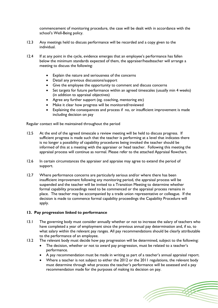commencement of monitoring procedure, the case will be dealt with in accordance with the school's Well-Being policy.

- 12.3 Any meetings held to discuss performance will be recorded and a copy given to the individual.
- 12.4 If at any point in the cycle, evidence emerges that an employee's performance has fallen below the minimum standards expected of them, the appraiser/headteacher will arrange a meeting to discuss the following:
	- Explain the nature and seriousness of the concerns
	- Detail any previous discussions/support
	- Give the employee the opportunity to comment and discuss concerns
	- Set targets for future performance within an agreed timescales (usually min 4 weeks) (in addition to appraisal objectives)
	- Agree any further support (eg. coaching, mentoring etc)
	- Make it clear how progress will be monitored/reviewed
	- Explaining the consequences and process if no, or insufficient improvement is made including decision on pay

Regular contact will be maintained throughout the period

- 12.5 At the end of the agreed timescale a review meeting will be held to discuss progress. If sufficient progress is made such that the teacher is performing at a level that indicates there is no longer a possibility of capability procedures being invoked the teacher should be informed of this at a meeting with the appraiser or head teacher. Following this meeting the appraisal process will continue as normal. Please refer to the attached Appraisal flowchart.
- 12.6 In certain circumstances the appraiser and appraise may agree to extend the period of support.
- 12.7 Where performance concerns are particularly serious and/or where there has been insufficient improvement following any monitoring period, the appraisal process will be suspended and the teacher will be invited to a Transition Meeting to determine whether formal capability proceedings need to be commenced or the appraisal process remains in place. The teacher may be accompanied by a trade union representative or colleague. If the decision is made to commence formal capability proceedings the Capability Procedure will apply.

#### **13. Pay progression linked to performance**

- 13.1 The governing body must consider annually whether or not to increase the salary of teachers who have completed a year of employment since the previous annual pay determination and, if so, to what salary within the relevant pay ranges. All pay recommendations should be clearly attributable to the performance of an employee.
- 13.2 The relevant body must decide how pay progression will be determined, subject to the following:
	- The decision, whether or not to award pay progression, must be related to a teacher's performance.
	- A pay recommendation must be made in writing as part of a teacher's annual appraisal report.
	- Where a teacher is not subject to either the 2012 or the 2011 regulations, the relevant body must determine through what process the teacher's performance will be assessed and a pay recommendation made for the purposes of making its decision on pay.

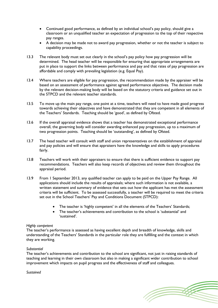- Continued good performance, as defined by an individual school's pay policy, should give a classroom or an unqualified teacher an expectation of progression to the top of their respective pay ranges.
- A decision may be made not to award pay progression, whether or not the teacher is subject to capability proceedings.
- 13.3 The relevant body must set out clearly in the school's pay policy how pay progression will be determined. The head teacher will be responsible for ensuring that appropriate arrangements are put in place to support the links between performance and pay and that rates of pay progression are affordable and comply with prevailing legislation (e.g. Equal Pay).
- 13.4 Where teachers are eligible for pay progression, the recommendation made by the appraiser will be based on an assessment of performance against agreed performance objectives. The decision made by the relevant decision-making body will be based on the statutory criteria and guidance set out in the STPCD and the relevant teacher standards.
- 13.5 To move up the main pay range, one point at a time, teachers will need to have made good progress towards achieving their objectives and have demonstrated that they are competent in all elements of the Teachers' Standards. Teaching should be 'good', as defined by Ofsted.
- 13.6 If the overall appraisal evidence shows that a teacher has demonstrated exceptional performance overall, the governing body will consider awarding enhanced pay progression, up to a maximum of two progression points. Teaching should be 'outstanding', as defined by Ofsted.
- 13.7 The head teacher will consult with staff and union representatives on the establishment of appraisal and pay policies and will ensure that appraisers have the knowledge and skills to apply procedures fairly.
- 13.8 Teachers will work with their appraisers to ensure that there is sufficient evidence to support pay recommendations. Teachers will also keep records of objectives and review them throughout the appraisal period.
- 13.9 From 1 September 2013, any qualified teacher can apply to be paid on the Upper Pay Range. All applications should include the results of appraisals; where such information is not available, a written statement and summary of evidence that sets out how the applicant has met the assessment criteria will be sufficient. To be assessed successfully, a teacher will be required to meet the criteria set out in the School Teachers' Pay and Conditions Document (STPCD):
	- The teacher is 'highly competent' in all the elements of the Teachers' Standards;
	- The teacher's achievements and contribution to the school is 'substantial' and 'sustained'.

## *Highly competent*

The teacher's performance is assessed as having excellent depth and breadth of knowledge, skills and understanding of the Teachers' Standards in the particular role they are fulfilling and the context in which they are working.

#### *Substantial*

The teacher's achievements and contribution to the school are significant, not just in raising standards of teaching and learning in their own classroom but also in making a significant wider contribution to school improvement which impacts on pupil progress and the effectiveness of staff and colleagues.

#### *Sustained*

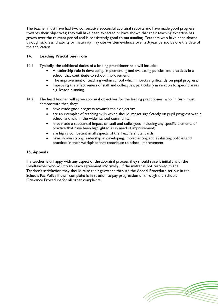The teacher must have had two consecutive successful appraisal reports and have made good progress towards their objectives; they will have been expected to have shown that their teaching expertise has grown over the relevant period and is consistently good to outstanding. Teachers who have been absent through sickness, disability or maternity may cite written evidence over a 3-year period before the date of the application.

# **14. Leading Practitioner role**

- 14.1 Typically, the additional duties of a leading practitioner role will include:
	- A leadership role in developing, implementing and evaluating policies and practices in a school that contribute to school improvement;
	- The improvement of teaching within school which impacts significantly on pupil progress;
	- Improving the effectiveness of staff and colleagues, particularly in relation to specific areas e.g. lesson planning.
- 14.2 The head teacher will agree appraisal objectives for the leading practitioner, who, in turn, must demonstrate that, they:
	- have made good progress towards their objectives;
	- are an exemplar of teaching skills which should impact significantly on pupil progress within school and within the wider school community;
	- have made a substantial impact on staff and colleagues, including any specific elements of practice that have been highlighted as in need of improvement;
	- are highly competent in all aspects of the Teachers' Standards;
	- have shown strong leadership in developing, implementing and evaluating policies and practices in their workplace that contribute to school improvement.

## **15. Appeals**

If a teacher is unhappy with any aspect of the appraisal process they should raise it initially with the Headteacher who will try to reach agreement informally. If the matter is not resolved to the Teacher's satisfaction they should raise their grievance through the Appeal Procedure set out in the Schools Pay Policy if their complaint is in relation to pay progression or through the Schools Grievance Procedure for all other complaints.